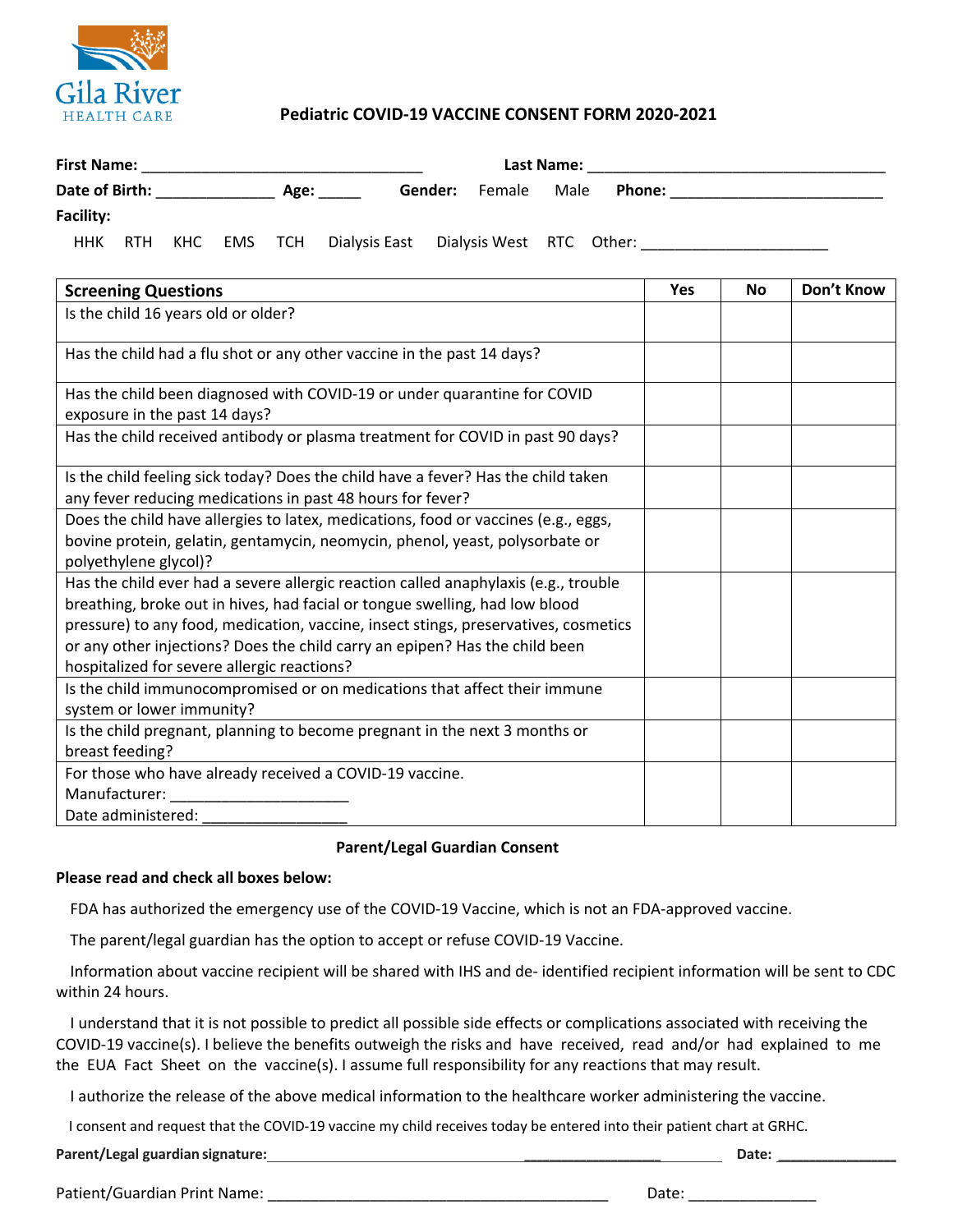

## **Pediatric COVID-19 VACCINE CONSENT FORM 2020-2021**

| <b>First Name:</b> |            |     |         |                 |                                        | Last Name: |                       |  |  |  |
|--------------------|------------|-----|---------|-----------------|----------------------------------------|------------|-----------------------|--|--|--|
| Date of Birth:     |            |     |         | Gender:<br>Age: |                                        | Female     | Male<br><b>Phone:</b> |  |  |  |
| <b>Facility:</b>   |            |     |         |                 |                                        |            |                       |  |  |  |
| ннк                | <b>RTH</b> | кнс | EMS TCH |                 | Dialysis East Dialysis West RTC Other: |            |                       |  |  |  |

| <b>Screening Questions</b>                                                                                                                                                                                                                                                                                                                                                              | <b>Yes</b> | <b>No</b> | Don't Know |
|-----------------------------------------------------------------------------------------------------------------------------------------------------------------------------------------------------------------------------------------------------------------------------------------------------------------------------------------------------------------------------------------|------------|-----------|------------|
| Is the child 16 years old or older?                                                                                                                                                                                                                                                                                                                                                     |            |           |            |
| Has the child had a flu shot or any other vaccine in the past 14 days?                                                                                                                                                                                                                                                                                                                  |            |           |            |
| Has the child been diagnosed with COVID-19 or under quarantine for COVID<br>exposure in the past 14 days?                                                                                                                                                                                                                                                                               |            |           |            |
| Has the child received antibody or plasma treatment for COVID in past 90 days?                                                                                                                                                                                                                                                                                                          |            |           |            |
| Is the child feeling sick today? Does the child have a fever? Has the child taken<br>any fever reducing medications in past 48 hours for fever?                                                                                                                                                                                                                                         |            |           |            |
| Does the child have allergies to latex, medications, food or vaccines (e.g., eggs,<br>bovine protein, gelatin, gentamycin, neomycin, phenol, yeast, polysorbate or<br>polyethylene glycol)?                                                                                                                                                                                             |            |           |            |
| Has the child ever had a severe allergic reaction called anaphylaxis (e.g., trouble<br>breathing, broke out in hives, had facial or tongue swelling, had low blood<br>pressure) to any food, medication, vaccine, insect stings, preservatives, cosmetics<br>or any other injections? Does the child carry an epipen? Has the child been<br>hospitalized for severe allergic reactions? |            |           |            |
| Is the child immunocompromised or on medications that affect their immune<br>system or lower immunity?                                                                                                                                                                                                                                                                                  |            |           |            |
| Is the child pregnant, planning to become pregnant in the next 3 months or<br>breast feeding?                                                                                                                                                                                                                                                                                           |            |           |            |
| For those who have already received a COVID-19 vaccine.<br>Manufacturer:<br>Date administered:                                                                                                                                                                                                                                                                                          |            |           |            |

## **Parent/Legal Guardian Consent**

## **Please read and check all boxes below:**

FDA has authorized the emergency use of the COVID-19 Vaccine, which is not an FDA-approved vaccine.

The parent/legal guardian has the option to accept or refuse COVID-19 Vaccine.

 Information about vaccine recipient will be shared with IHS and de- identified recipient information will be sent to CDC within 24 hours.

 I understand that it is not possible to predict all possible side effects or complications associated with receiving the COVID-19 vaccine(s). I believe the benefits outweigh the risks and have received, read and/or had explained to me the EUA Fact Sheet on the vaccine(s). I assume full responsibility for any reactions that may result.

I authorize the release of the above medical information to the healthcare worker administering the vaccine.

I consent and request that the COVID-19 vaccine my child receives today be entered into their patient chart at GRHC.

**Parent/Legal guardian signature: \_\_\_\_\_\_\_\_\_\_\_\_\_\_\_\_\_\_\_\_\_\_ Date: \_\_\_\_\_\_\_\_\_\_\_\_\_\_\_\_\_\_\_**

Patient/Guardian Print Name: \_\_\_\_\_\_\_\_\_\_\_\_\_\_\_\_\_\_\_\_\_\_\_\_\_\_\_\_\_\_\_\_\_\_\_\_\_\_\_\_ Date: \_\_\_\_\_\_\_\_\_\_\_\_\_\_\_